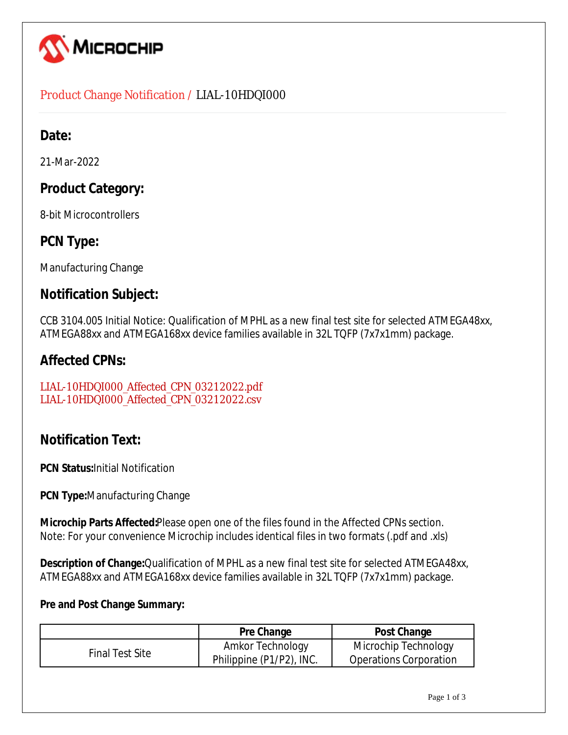

### Product Change Notification / LIAL-10HDQI000

## **Date:**

21-Mar-2022

## **Product Category:**

8-bit Microcontrollers

## **PCN Type:**

Manufacturing Change

### **Notification Subject:**

CCB 3104.005 Initial Notice: Qualification of MPHL as a new final test site for selected ATMEGA48xx, ATMEGA88xx and ATMEGA168xx device families available in 32L TQFP (7x7x1mm) package.

### **Affected CPNs:**

[LIAL-10HDQI000\\_Affected\\_CPN\\_03212022.pdf](https://www.microchip.com/mymicrochipapi/api/pcn/DownloadPcnDocument?pcnId=17560&affectedcpns=pdf) [LIAL-10HDQI000\\_Affected\\_CPN\\_03212022.csv](https://www.microchip.com/mymicrochipapi/api/pcn/DownloadPcnDocument?pcnId=17560&affectedcpns=xls)

# **Notification Text:**

**PCN Status:**Initial Notification

**PCN Type:**Manufacturing Change

**Microchip Parts Affected:**Please open one of the files found in the Affected CPNs section. Note: For your convenience Microchip includes identical files in two formats (.pdf and .xls)

**Description of Change:**Qualification of MPHL as a new final test site for selected ATMEGA48xx, ATMEGA88xx and ATMEGA168xx device families available in 32L TQFP (7x7x1mm) package.

#### **Pre and Post Change Summary:**

|                 | Pre Change               | Post Change                   |
|-----------------|--------------------------|-------------------------------|
| Final Test Site | Amkor Technology         | Microchip Technology          |
|                 | Philippine (P1/P2), INC. | <b>Operations Corporation</b> |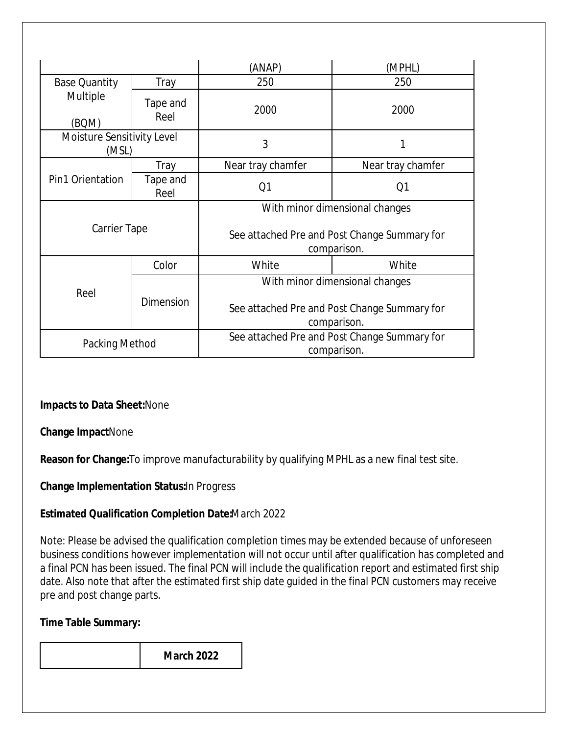|                                     |                  | (ANAP)                                                      | (MPHL)            |  |  |
|-------------------------------------|------------------|-------------------------------------------------------------|-------------------|--|--|
| <b>Base Quantity</b>                | Tray             | 250                                                         | 250               |  |  |
| Multiple<br>(BQM)                   | Tape and<br>Reel | 2000                                                        | 2000              |  |  |
| Moisture Sensitivity Level<br>(MSL) |                  | 3                                                           | 1                 |  |  |
| Pin1 Orientation                    | Tray             | Near tray chamfer                                           | Near tray chamfer |  |  |
|                                     | Tape and<br>Reel | Q1                                                          | Q1                |  |  |
| Carrier Tape                        |                  | With minor dimensional changes                              |                   |  |  |
|                                     |                  | See attached Pre and Post Change Summary for<br>comparison. |                   |  |  |
| Reel                                | Color            | White                                                       | White             |  |  |
|                                     |                  | With minor dimensional changes                              |                   |  |  |
|                                     | <b>Dimension</b> | See attached Pre and Post Change Summary for<br>comparison. |                   |  |  |
| Packing Method                      |                  | See attached Pre and Post Change Summary for<br>comparison. |                   |  |  |

**Impacts to Data Sheet:**None

**Change Impact**None

**Reason for Change:**To improve manufacturability by qualifying MPHL as a new final test site.

**Change Implementation Status:**In Progress

### **Estimated Qualification Completion Date:**March 2022

Note: Please be advised the qualification completion times may be extended because of unforeseen business conditions however implementation will not occur until after qualification has completed and a final PCN has been issued. The final PCN will include the qualification report and estimated first ship date. Also note that after the estimated first ship date guided in the final PCN customers may receive pre and post change parts.

### **Time Table Summary:**

**March 2022**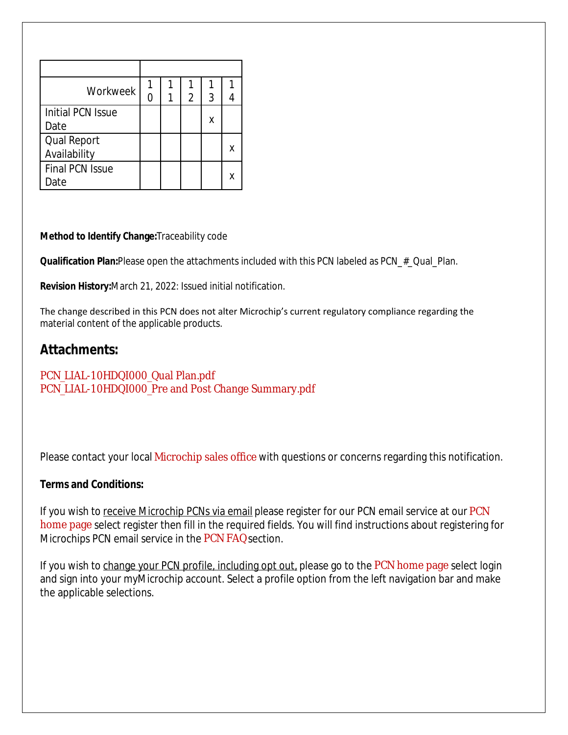| Workweek               |  |   |   |   |
|------------------------|--|---|---|---|
|                        |  | 2 | 3 |   |
| Initial PCN Issue      |  |   |   |   |
| Date                   |  |   | х |   |
| Qual Report            |  |   |   |   |
| Availability           |  |   |   | Χ |
| <b>Final PCN Issue</b> |  |   |   |   |
| )ate                   |  |   |   | x |

#### **Method to Identify Change:**Traceability code

**Qualification Plan:**Please open the attachments included with this PCN labeled as PCN # Qual Plan.

**Revision History:**March 21, 2022: Issued initial notification.

The change described in this PCN does not alter Microchip's current regulatory compliance regarding the material content of the applicable products.

### **Attachments:**

#### [PCN\\_LIAL-10HDQI000\\_Qual Plan.pdf](https://www.microchip.com/mymicrochipapi/api/pcn/DownloadPcnDocument?pcnId=17560&filename=PCN_LIAL-10HDQI000_Qual Plan.pdf) [PCN\\_LIAL-10HDQI000\\_Pre and Post Change Summary.pdf](https://www.microchip.com/mymicrochipapi/api/pcn/DownloadPcnDocument?pcnId=17560&filename=PCN_LIAL-10HDQI000_Pre and Post Change Summary.pdf)

Please contact your local [Microchip sales office](http://www.microchip.com/distributors/SalesHome.aspx) with questions or concerns regarding this notification.

#### **Terms and Conditions:**

If you wish to receive Microchip PCNs via email please register for our [PCN](http://www.microchip.com/pcn) email service at our PCN [home page](http://www.microchip.com/pcn) select register then fill in the required fields. You will find instructions about registering for Microchips PCN email service in the [PCN FAQ](http://www.microchip.com/pcn/faqs) section.

If you wish to change your PCN profile, including opt out, please go to the [PCN home page](http://www.microchip.com/pcn) select login and sign into your myMicrochip account. Select a profile option from the left navigation bar and make the applicable selections.